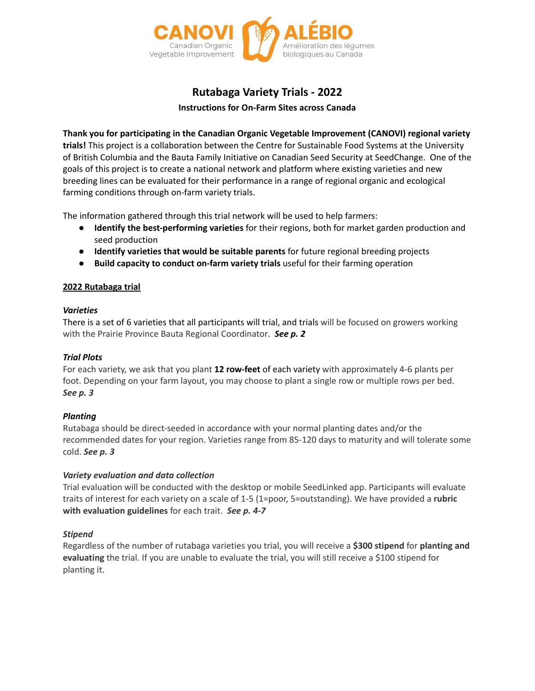

# **Rutabaga Variety Trials - 2022**

**Instructions for On-Farm Sites across Canada**

**Thank you for participating in the Canadian Organic Vegetable Improvement (CANOVI) regional variety trials!** This project is a collaboration between the Centre for Sustainable Food Systems at the University of British Columbia and the Bauta Family Initiative on Canadian Seed Security at SeedChange. One of the goals of this project is to create a national network and platform where existing varieties and new breeding lines can be evaluated for their performance in a range of regional organic and ecological farming conditions through on-farm variety trials.

The information gathered through this trial network will be used to help farmers:

- **Identify the best-performing varieties** for their regions, both for market garden production and seed production
- **Identify varieties that would be suitable parents** for future regional breeding projects
- **Build capacity to conduct on-farm variety trials** useful for their farming operation

## **2022 Rutabaga trial**

## *Varieties*

There is a set of 6 varieties that all participants will trial, and trials will be focused on growers working with the Prairie Province Bauta Regional Coordinator. *See p. 2*

## *Trial Plots*

For each variety, we ask that you plant **12 row-feet** of each variety with approximately 4-6 plants per foot. Depending on your farm layout, you may choose to plant a single row or multiple rows per bed. *See p. 3*

## *Planting*

Rutabaga should be direct-seeded in accordance with your normal planting dates and/or the recommended dates for your region. Varieties range from 85-120 days to maturity and will tolerate some cold. *See p. 3*

## *Variety evaluation and data collection*

Trial evaluation will be conducted with the desktop or mobile SeedLinked app. Participants will evaluate traits of interest for each variety on a scale of 1-5 (1=poor, 5=outstanding). We have provided a **rubric with evaluation guidelines** for each trait. *See p. 4-7*

## *Stipend*

Regardless of the number of rutabaga varieties you trial, you will receive a **\$300 stipend** for **planting and evaluating** the trial. If you are unable to evaluate the trial, you will still receive a \$100 stipend for planting it.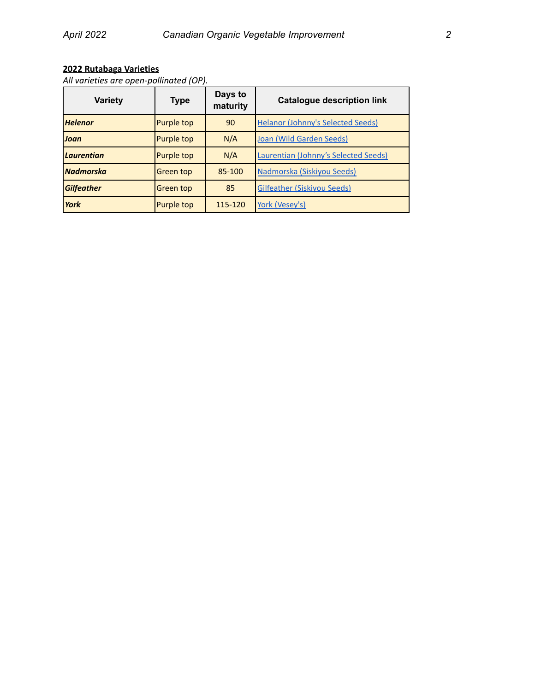# **2022 Rutabaga Varieties**

*All varieties are open-pollinated (OP).*

| Variety           | <b>Type</b> | Days to<br>maturity                      | <b>Catalogue description link</b>           |  |  |
|-------------------|-------------|------------------------------------------|---------------------------------------------|--|--|
| <b>Helenor</b>    | Purple top  | 90                                       | <b>Helanor (Johnny's Selected Seeds)</b>    |  |  |
| Joan              | Purple top  | N/A                                      | Joan (Wild Garden Seeds)                    |  |  |
| <b>Laurentian</b> | Purple top  | N/A                                      | <b>Laurentian (Johnny's Selected Seeds)</b> |  |  |
| <b>Nadmorska</b>  | Green top   | 85-100                                   | Nadmorska (Siskiyou Seeds)                  |  |  |
| <b>Gilfeather</b> | Green top   | <b>Gilfeather (Siskiyou Seeds)</b><br>85 |                                             |  |  |
| York              | Purple top  | 115-120                                  | York (Vesey's)                              |  |  |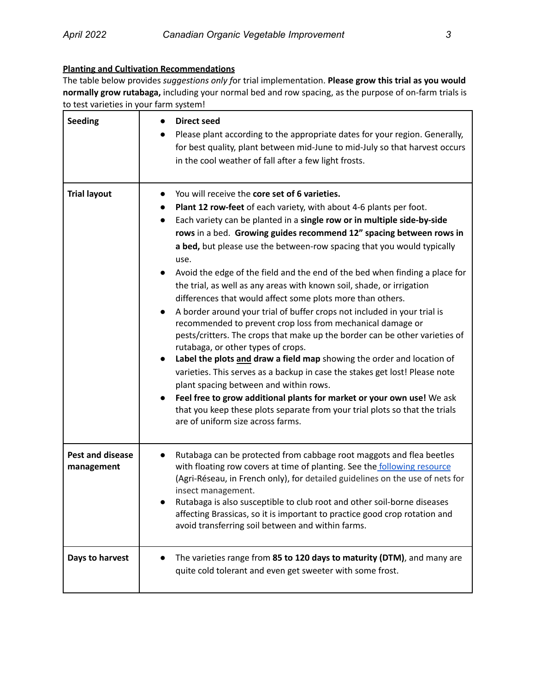## **Planting and Cultivation Recommendations**

The table below provides *suggestions only f*or trial implementation. **Please grow this trial as you would normally grow rutabaga,** including your normal bed and row spacing, as the purpose of on-farm trials is to test varieties in your farm system!

| <b>Seeding</b>                 | <b>Direct seed</b><br>Please plant according to the appropriate dates for your region. Generally,<br>for best quality, plant between mid-June to mid-July so that harvest occurs<br>in the cool weather of fall after a few light frosts.                                                                                                                                                                                                                                                                                                                                                                                                                                                                                                                                                                                                                                                                                                                                                                                                                                                                                                                                                                                                                  |
|--------------------------------|------------------------------------------------------------------------------------------------------------------------------------------------------------------------------------------------------------------------------------------------------------------------------------------------------------------------------------------------------------------------------------------------------------------------------------------------------------------------------------------------------------------------------------------------------------------------------------------------------------------------------------------------------------------------------------------------------------------------------------------------------------------------------------------------------------------------------------------------------------------------------------------------------------------------------------------------------------------------------------------------------------------------------------------------------------------------------------------------------------------------------------------------------------------------------------------------------------------------------------------------------------|
| <b>Trial layout</b>            | You will receive the core set of 6 varieties.<br>Plant 12 row-feet of each variety, with about 4-6 plants per foot.<br>Each variety can be planted in a single row or in multiple side-by-side<br>rows in a bed. Growing guides recommend 12" spacing between rows in<br>a bed, but please use the between-row spacing that you would typically<br>use.<br>Avoid the edge of the field and the end of the bed when finding a place for<br>the trial, as well as any areas with known soil, shade, or irrigation<br>differences that would affect some plots more than others.<br>A border around your trial of buffer crops not included in your trial is<br>$\bullet$<br>recommended to prevent crop loss from mechanical damage or<br>pests/critters. The crops that make up the border can be other varieties of<br>rutabaga, or other types of crops.<br>Label the plots and draw a field map showing the order and location of<br>varieties. This serves as a backup in case the stakes get lost! Please note<br>plant spacing between and within rows.<br>Feel free to grow additional plants for market or your own use! We ask<br>that you keep these plots separate from your trial plots so that the trials<br>are of uniform size across farms. |
| Pest and disease<br>management | Rutabaga can be protected from cabbage root maggots and flea beetles<br>with floating row covers at time of planting. See the following resource<br>(Agri-Réseau, in French only), for detailed guidelines on the use of nets for<br>insect management.<br>Rutabaga is also susceptible to club root and other soil-borne diseases<br>affecting Brassicas, so it is important to practice good crop rotation and<br>avoid transferring soil between and within farms.                                                                                                                                                                                                                                                                                                                                                                                                                                                                                                                                                                                                                                                                                                                                                                                      |
| Days to harvest                | The varieties range from 85 to 120 days to maturity (DTM), and many are<br>quite cold tolerant and even get sweeter with some frost.                                                                                                                                                                                                                                                                                                                                                                                                                                                                                                                                                                                                                                                                                                                                                                                                                                                                                                                                                                                                                                                                                                                       |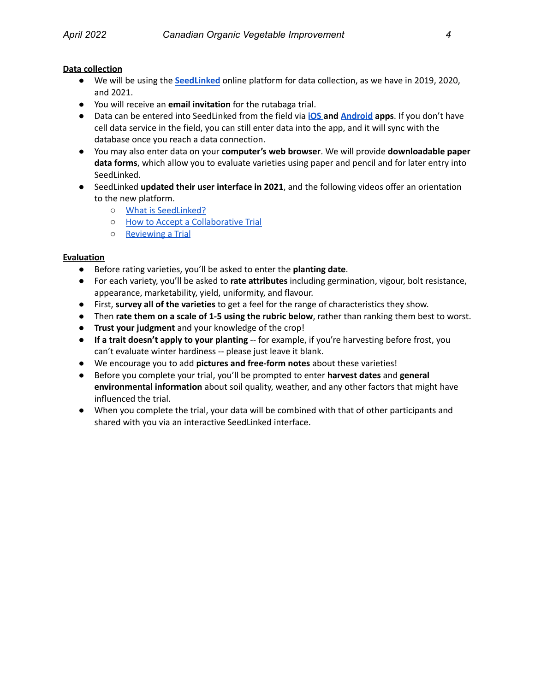## **Data collection**

- We will be using the **[SeedLinked](http://www.seedlinked.com/)** online platform for data collection, as we have in 2019, 2020, and 2021.
- You will receive an **email invitation** for the rutabaga trial.
- Data can be entered into SeedLinked from the field via **[iOS](https://apps.apple.com/us/app/seedlinked/id1469161537) and [Android](https://play.google.com/store/apps/details?id=com.augment.seedlinked&hl=en_CA&gl=US) apps**. If you don't have cell data service in the field, you can still enter data into the app, and it will sync with the database once you reach a data connection.
- You may also enter data on your **computer's web browser**. We will provide **downloadable paper data forms**, which allow you to evaluate varieties using paper and pencil and for later entry into SeedLinked.
- SeedLinked **updated their user interface in 2021**, and the following videos offer an orientation to the new platform.
	- What is [SeedLinked?](https://www.youtube.com/watch?v=mWcgTPepiL4)
	- How to Accept a [Collaborative](https://www.youtube.com/watch?v=-KeyUQbsIvM&t=43s) Trial
	- [Reviewing](https://www.youtube.com/watch?v=yGPw_CVmsHc) a Trial

## **Evaluation**

- Before rating varieties, you'll be asked to enter the **planting date**.
- For each variety, you'll be asked to **rate attributes** including germination, vigour, bolt resistance, appearance, marketability, yield, uniformity, and flavour.
- First, **survey all of the varieties** to get a feel for the range of characteristics they show.
- Then **rate them on a scale of 1-5 using the rubric below**, rather than ranking them best to worst.
- **Trust your judgment** and your knowledge of the crop!
- **If a trait doesn't apply to your planting** -- for example, if you're harvesting before frost, you can't evaluate winter hardiness -- please just leave it blank.
- We encourage you to add **pictures and free-form notes** about these varieties!
- Before you complete your trial, you'll be prompted to enter **harvest dates** and **general environmental information** about soil quality, weather, and any other factors that might have influenced the trial.
- When you complete the trial, your data will be combined with that of other participants and shared with you via an interactive SeedLinked interface.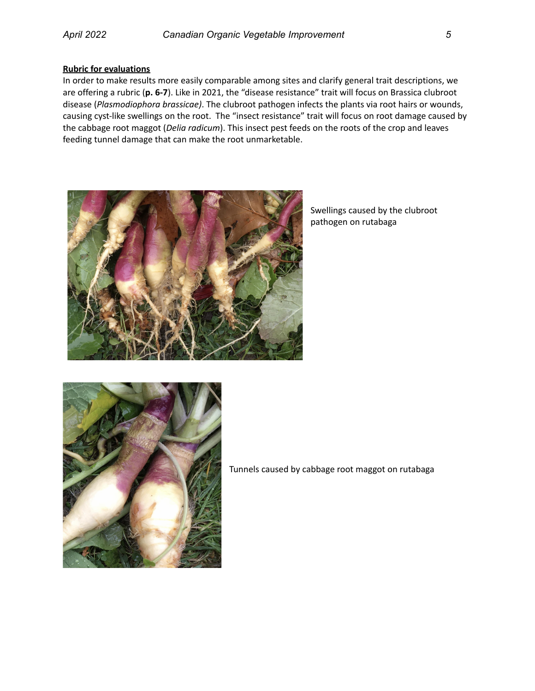#### **Rubric for evaluations**

In order to make results more easily comparable among sites and clarify general trait descriptions, we are offering a rubric (**p. 6-7**). Like in 2021, the "disease resistance" trait will focus on Brassica clubroot disease (*Plasmodiophora brassicae)*. The clubroot pathogen infects the plants via root hairs or wounds, causing cyst-like swellings on the root. The "insect resistance" trait will focus on root damage caused by the cabbage root maggot (*Delia radicum*). This insect pest feeds on the roots of the crop and leaves feeding tunnel damage that can make the root unmarketable.



Swellings caused by the clubroot pathogen on rutabaga



Tunnels caused by cabbage root maggot on rutabaga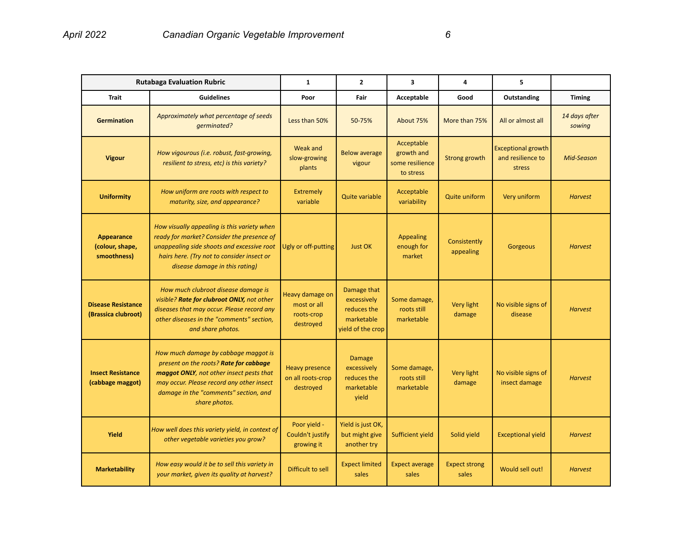| <b>Rutabaga Evaluation Rubric</b>                |                                                                                                                                                                                                                                   | $\mathbf{1}$                                              | $\overline{2}$                                                               | $\overline{\mathbf{3}}$                                  | 4                             | 5                                                        |                         |
|--------------------------------------------------|-----------------------------------------------------------------------------------------------------------------------------------------------------------------------------------------------------------------------------------|-----------------------------------------------------------|------------------------------------------------------------------------------|----------------------------------------------------------|-------------------------------|----------------------------------------------------------|-------------------------|
| <b>Trait</b>                                     | <b>Guidelines</b>                                                                                                                                                                                                                 | Poor                                                      | Fair                                                                         | Acceptable                                               | Good                          | Outstanding                                              | <b>Timing</b>           |
| <b>Germination</b>                               | Approximately what percentage of seeds<br>qerminated?                                                                                                                                                                             | Less than 50%                                             | 50-75%                                                                       | About 75%                                                | More than 75%                 | All or almost all                                        | 14 days after<br>sowing |
| <b>Vigour</b>                                    | How vigourous (i.e. robust, fast-growing,<br>resilient to stress, etc) is this variety?                                                                                                                                           | <b>Weak and</b><br>slow-growing<br>plants                 | <b>Below average</b><br>vigour                                               | Acceptable<br>growth and<br>some resilience<br>to stress | <b>Strong growth</b>          | <b>Exceptional growth</b><br>and resilience to<br>stress | Mid-Season              |
| <b>Uniformity</b>                                | How uniform are roots with respect to<br>maturity, size, and appearance?                                                                                                                                                          | <b>Extremely</b><br>variable                              | <b>Quite variable</b>                                                        | Acceptable<br>variability                                | <b>Quite uniform</b>          | Very uniform                                             | <b>Harvest</b>          |
| Appearance<br>(colour, shape,<br>smoothness)     | How visually appealing is this variety when<br>ready for market? Consider the presence of<br>unappealing side shoots and excessive root<br>hairs here. (Try not to consider insect or<br>disease damage in this rating)           | Ugly or off-putting                                       | <b>Just OK</b>                                                               | <b>Appealing</b><br>enough for<br>market                 | Consistently<br>appealing     | Gorgeous                                                 | <b>Harvest</b>          |
| <b>Disease Resistance</b><br>(Brassica clubroot) | How much clubroot disease damage is<br>visible? Rate for clubroot ONLY, not other<br>diseases that may occur. Please record any<br>other diseases in the "comments" section,<br>and share photos.                                 | Heavy damage on<br>most or all<br>roots-crop<br>destroyed | Damage that<br>excessively<br>reduces the<br>marketable<br>yield of the crop | Some damage,<br>roots still<br>marketable                | <b>Very light</b><br>damage   | No visible signs of<br>disease                           | <b>Harvest</b>          |
| <b>Insect Resistance</b><br>(cabbage maggot)     | How much damage by cabbage maggot is<br>present on the roots? Rate for cabbage<br>maggot ONLY, not other insect pests that<br>may occur. Please record any other insect<br>damage in the "comments" section, and<br>share photos. | <b>Heavy presence</b><br>on all roots-crop<br>destroyed   | <b>Damage</b><br>excessively<br>reduces the<br>marketable<br>yield           | Some damage,<br>roots still<br>marketable                | Very light<br>damage          | No visible signs of<br>insect damage                     | <b>Harvest</b>          |
| Yield                                            | How well does this variety yield, in context of<br>other vegetable varieties you grow?                                                                                                                                            | Poor yield -<br>Couldn't justify<br>growing it            | Yield is just OK,<br>but might give<br>another try                           | <b>Sufficient yield</b>                                  | Solid yield                   | <b>Exceptional yield</b>                                 | <b>Harvest</b>          |
| <b>Marketability</b>                             | How easy would it be to sell this variety in<br>your market, given its quality at harvest?                                                                                                                                        | Difficult to sell                                         | <b>Expect limited</b><br>sales                                               | <b>Expect average</b><br>sales                           | <b>Expect strong</b><br>sales | Would sell out!                                          | <b>Harvest</b>          |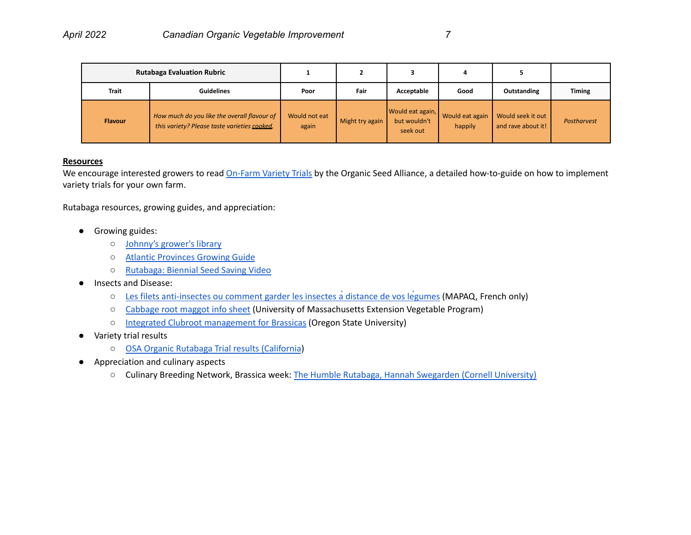| <b>Rutabaga Evaluation Rubric</b> |                                                                                             |                        |                 |                                              |                            |                                         |               |
|-----------------------------------|---------------------------------------------------------------------------------------------|------------------------|-----------------|----------------------------------------------|----------------------------|-----------------------------------------|---------------|
| <b>Trait</b>                      | <b>Guidelines</b>                                                                           | Poor                   | Fair            | Acceptable                                   | Good                       | Outstanding                             | <b>Timing</b> |
| <b>Flavour</b>                    | How much do you like the overall flavour of<br>this variety? Please taste varieties cooked. | Would not eat<br>again | Might try again | Would eat again,<br>but wouldn't<br>seek out | Would eat again<br>happily | Would seek it out<br>and rave about it! | Postharvest   |

### **Resources**

We encourage interested growers to read [On-Farm](https://seedalliance.org/wp-content/uploads/2018/02/Growers-guide-on-farm-variety-trials_FINAL_Digital.pdf) Variety Trials by the Organic Seed Alliance, a detailed how-to-guide on how to implement variety trials for your own farm.

Rutabaga resources, growing guides, and appreciation:

- Growing guides:
	- Johnny's [grower's](https://www.johnnyseeds.com/growers-library/vegetables/rutabagas/rutabaga-key-growing-information.html?q=rutabaga) library
	- Atlantic [Provinces](https://www.faa.gov.nl.ca/agrifoods/plants/pdf/turnip.pdf) Growing Guide
	- [Rutabaga:](https://www.youtube.com/watch?v=GcBJUxZPDIU&ab_channel=SeedChange) Biennial Seed Saving Video
- Insects and Disease:
	- Les filets [anti-insectes](https://www.agrireseau.net/agriculturebiologique/documents/filets%20anti-insectes.pdf) ou comment garder les insectes àdistance de vos légumes (MAPAQ, French only)
	- [Cabbage](https://ag.umass.edu/vegetable/fact-sheets/cabbage-root-maggot) root maggot info sheet (University of Massachusetts Extension Vegetable Program)
	- Integrated Clubroot [management](https://catalog.extension.oregonstate.edu/sites/catalog/files/project/pdf/em9148.pdf) for Brassicas (Oregon State University)
- Variety trial results
	- OSA Organic Rutabaga Trial results [\(California](https://varietytrials.eorganic.info/sites/eorg-variety7/files/california-organic-rutabaga-variety-trials-2013-2014-digital.pdf))
- Appreciation and culinary aspects
	- Culinary Breeding Network, Brassica week: The Humble Rutabaga, Hannah [Swegarden](https://youtu.be/aEfDTslrEfM) (Cornell University)